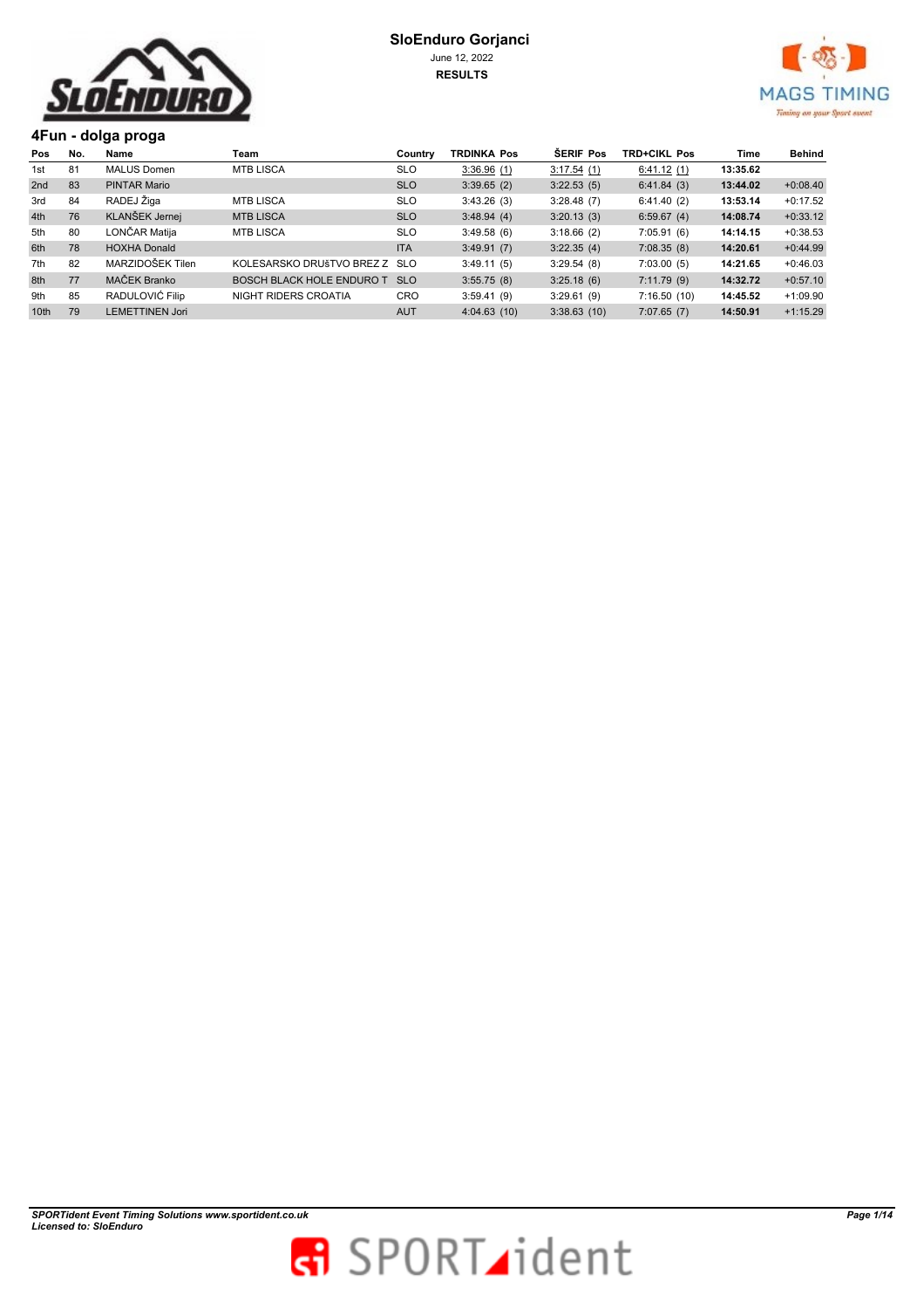



**4Fun - dolga proga** 

| Pos              | No. | Name                   | Team                          | Country    | <b>TRDINKA Pos</b> | <b>SERIF Pos</b> | <b>TRD+CIKL Pos</b> | Time     | Behind     |
|------------------|-----|------------------------|-------------------------------|------------|--------------------|------------------|---------------------|----------|------------|
| 1st              | 81  | <b>MALUS Domen</b>     | <b>MTB LISCA</b>              | <b>SLO</b> | 3:36.96(1)         | 3:17.54(1)       | 6:41.12(1)          | 13:35.62 |            |
| 2nd              | 83  | PINTAR Mario           |                               | <b>SLO</b> | 3:39.65(2)         | 3:22.53(5)       | 6:41.84(3)          | 13:44.02 | $+0:08.40$ |
| 3rd              | 84  | RADEJ Žiga             | <b>MTB LISCA</b>              | <b>SLO</b> | 3:43.26(3)         | 3:28.48(7)       | 6:41.40(2)          | 13:53.14 | $+0:17.52$ |
| 4th              | 76  | KLANŠEK Jernej         | <b>MTB LISCA</b>              | <b>SLO</b> | 3:48.94(4)         | 3:20.13(3)       | 6:59.67(4)          | 14:08.74 | $+0:33.12$ |
| 5th              | 80  | LONČAR Matija          | <b>MTB LISCA</b>              | <b>SLO</b> | 3:49.58(6)         | 3:18.66(2)       | 7:05.91(6)          | 14:14.15 | $+0:38.53$ |
| 6th              | 78  | <b>HOXHA Donald</b>    |                               | <b>ITA</b> | 3:49.91(7)         | 3:22.35(4)       | 7:08.35(8)          | 14:20.61 | $+0:44.99$ |
| 7th              | 82  | MARZIDOŠEK Tilen       | KOLESARSKO DRUŠTVO BREZ Z SLO |            | 3:49.11(5)         | 3:29.54(8)       | 7:03.00(5)          | 14:21.65 | $+0:46.03$ |
| 8th              | 77  | MAČEK Branko           | BOSCH BLACK HOLE ENDURO T     | <b>SLO</b> | 3:55.75(8)         | 3:25.18(6)       | 7:11.79(9)          | 14:32.72 | $+0:57.10$ |
| 9th              | 85  | RADULOVIĆ Filip        | NIGHT RIDERS CROATIA          | <b>CRO</b> | 3:59.41(9)         | 3:29.61(9)       | 7:16.50(10)         | 14:45.52 | $+1:09.90$ |
| 10 <sub>th</sub> | 79  | <b>LEMETTINEN Jori</b> |                               | <b>AUT</b> | 4:04.63(10)        | 3:38.63(10)      | 7:07.65(7)          | 14:50.91 | $+1:15.29$ |

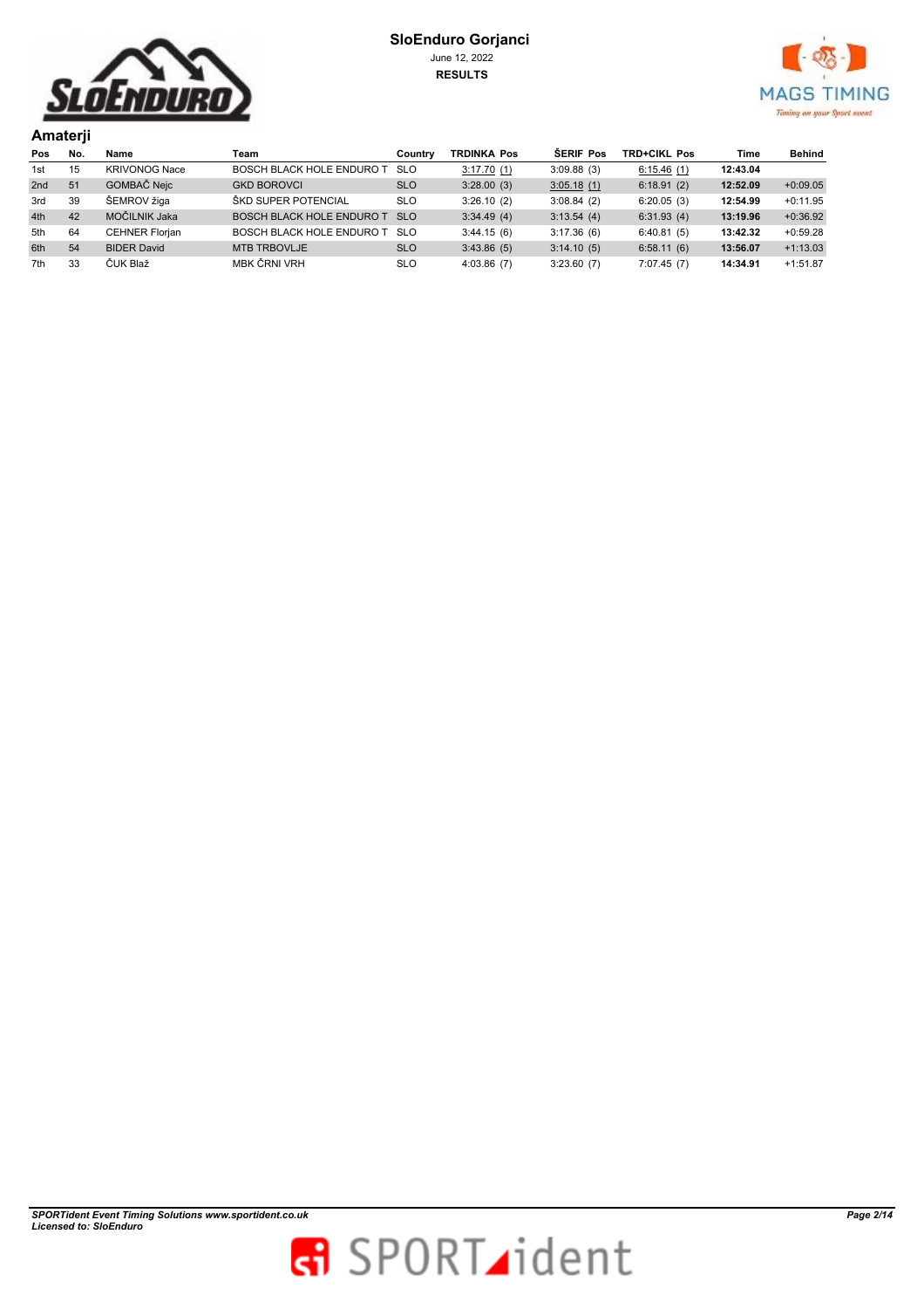



|                 | Amaterji |                       |                                  |            |                    |            |                     |          |            |  |  |
|-----------------|----------|-----------------------|----------------------------------|------------|--------------------|------------|---------------------|----------|------------|--|--|
| Pos             | No.      | Name                  | Team                             | Country    | <b>TRDINKA Pos</b> | ŠERIF Pos  | <b>TRD+CIKL Pos</b> | Time     | Behind     |  |  |
| 1st             | 15       | <b>KRIVONOG Nace</b>  | BOSCH BLACK HOLE ENDURO T        | <b>SLO</b> | 3:17.70(1)         | 3:09.88(3) | 6:15.46(1)          | 12:43.04 |            |  |  |
| 2 <sub>nd</sub> | 51       | GOMBAČ Nejc           | <b>GKD BOROVCI</b>               | <b>SLO</b> | 3:28.00(3)         | 3:05.18(1) | 6:18.91(2)          | 12:52.09 | $+0:09.05$ |  |  |
| 3rd             | 39       | ŠEMROV žiga           | ŠKD SUPER POTENCIAL              | <b>SLO</b> | 3:26.10(2)         | 3:08.84(2) | 6:20.05(3)          | 12:54.99 | $+0:11.95$ |  |  |
| 4th             | 42       | MOČILNIK Jaka         | <b>BOSCH BLACK HOLE ENDURO T</b> | <b>SLO</b> | 3:34.49(4)         | 3:13.54(4) | 6:31.93(4)          | 13:19.96 | $+0:36.92$ |  |  |
| 5th             | 64       | <b>CEHNER Florjan</b> | BOSCH BLACK HOLE ENDURO T SLO    |            | 3:44.15(6)         | 3:17.36(6) | 6:40.81(5)          | 13:42.32 | $+0.59.28$ |  |  |
| 6th             | 54       | <b>BIDER David</b>    | <b>MTB TRBOVLJE</b>              | <b>SLO</b> | 3:43.86(5)         | 3:14.10(5) | 6:58.11(6)          | 13:56.07 | $+1:13.03$ |  |  |
| 7th             | 33       | ČUK Blaž              | MBK ČRNI VRH                     | <b>SLO</b> | 4:03.86(7)         | 3:23.60(7) | 7:07.45(7)          | 14:34.91 | $+1:51.87$ |  |  |

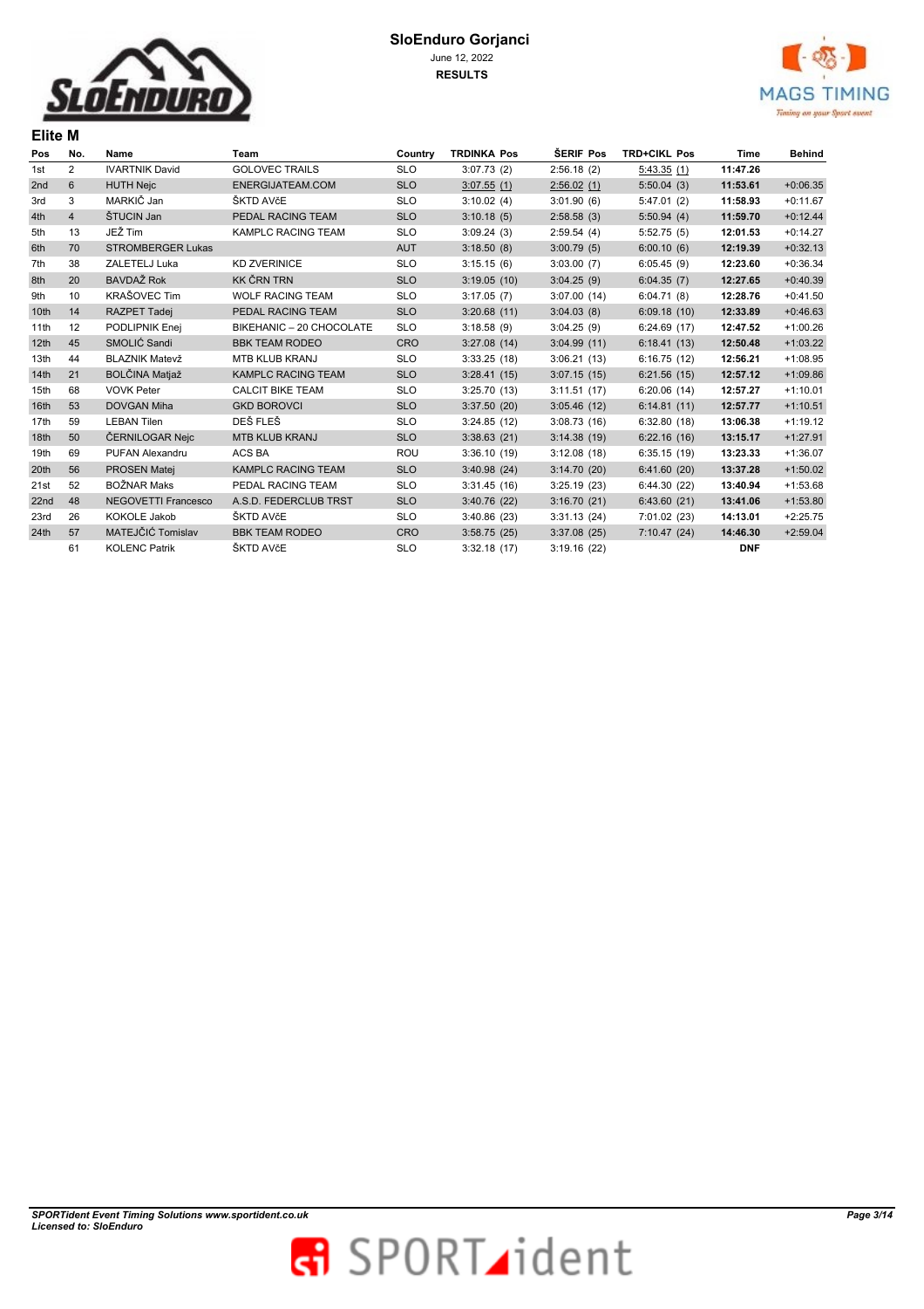

**Elite M** 



| Pos              | No.            | Name                       | Team                      | Country    | <b>TRDINKA Pos</b> | ŠERIF Pos   | <b>TRD+CIKL Pos</b> | Time       | <b>Behind</b> |
|------------------|----------------|----------------------------|---------------------------|------------|--------------------|-------------|---------------------|------------|---------------|
| 1st              | $\overline{2}$ | <b>IVARTNIK David</b>      | <b>GOLOVEC TRAILS</b>     | <b>SLO</b> | 3:07.73(2)         | 2:56.18(2)  | 5:43.35(1)          | 11:47.26   |               |
| 2nd              | 6              | <b>HUTH Nejc</b>           | ENERGIJATEAM.COM          | <b>SLO</b> | 3:07.55(1)         | 2:56.02(1)  | 5:50.04(3)          | 11:53.61   | $+0:06.35$    |
| 3rd              | 3              | MARKIČ Jan                 | ŠKTD AVčE                 | <b>SLO</b> | 3:10.02(4)         | 3:01.90(6)  | 5:47.01(2)          | 11:58.93   | $+0:11.67$    |
| 4th              | $\overline{4}$ | ŠTUCIN Jan                 | PEDAL RACING TEAM         | <b>SLO</b> | 3:10.18(5)         | 2:58.58(3)  | 5:50.94(4)          | 11:59.70   | $+0:12.44$    |
| 5th              | 13             | JEŽ Tim                    | KAMPLC RACING TEAM        | <b>SLO</b> | 3:09.24(3)         | 2:59.54(4)  | 5:52.75(5)          | 12:01.53   | $+0:14.27$    |
| 6th              | 70             | <b>STROMBERGER Lukas</b>   |                           | <b>AUT</b> | 3:18.50(8)         | 3:00.79(5)  | 6:00.10(6)          | 12:19.39   | $+0:32.13$    |
| 7th              | 38             | ZALETELJ Luka              | <b>KD ZVERINICE</b>       | <b>SLO</b> | 3:15.15(6)         | 3:03.00(7)  | 6:05.45(9)          | 12:23.60   | $+0:36.34$    |
| 8th              | 20             | <b>BAVDAŽ Rok</b>          | <b>KK ČRN TRN</b>         | <b>SLO</b> | 3:19.05(10)        | 3:04.25(9)  | 6:04.35(7)          | 12:27.65   | $+0:40.39$    |
| 9th              | 10             | <b>KRAŠOVEC Tim</b>        | <b>WOLF RACING TEAM</b>   | <b>SLO</b> | 3:17.05(7)         | 3:07.00(14) | 6:04.71(8)          | 12:28.76   | $+0:41.50$    |
| 10 <sub>th</sub> | 14             | <b>RAZPET Tadej</b>        | PEDAL RACING TEAM         | <b>SLO</b> | 3:20.68(11)        | 3:04.03(8)  | 6:09.18(10)         | 12:33.89   | $+0:46.63$    |
| 11th             | 12             | PODLIPNIK Enej             | BIKEHANIC - 20 CHOCOLATE  | <b>SLO</b> | 3:18.58(9)         | 3:04.25(9)  | 6:24.69(17)         | 12:47.52   | $+1:00.26$    |
| 12th             | 45             | SMOLIĆ Sandi               | <b>BBK TEAM RODEO</b>     | <b>CRO</b> | 3:27.08(14)        | 3:04.99(11) | 6:18.41(13)         | 12:50.48   | $+1:03.22$    |
| 13th             | 44             | <b>BLAZNIK Matevž</b>      | <b>MTB KLUB KRANJ</b>     | <b>SLO</b> | 3:33.25(18)        | 3:06.21(13) | 6:16.75(12)         | 12:56.21   | $+1:08.95$    |
| 14th             | 21             | <b>BOLČINA Matjaž</b>      | <b>KAMPLC RACING TEAM</b> | <b>SLO</b> | 3:28.41(15)        | 3:07.15(15) | 6:21.56(15)         | 12:57.12   | $+1:09.86$    |
| 15th             | 68             | <b>VOVK Peter</b>          | <b>CALCIT BIKE TEAM</b>   | <b>SLO</b> | 3:25.70(13)        | 3:11.51(17) | 6:20.06(14)         | 12:57.27   | $+1:10.01$    |
| 16th             | 53             | <b>DOVGAN Miha</b>         | <b>GKD BOROVCI</b>        | <b>SLO</b> | 3:37.50(20)        | 3:05.46(12) | 6:14.81(11)         | 12:57.77   | $+1:10.51$    |
| 17th             | 59             | <b>LEBAN Tilen</b>         | DEŠ FLEŠ                  | <b>SLO</b> | 3:24.85(12)        | 3:08.73(16) | 6:32.80(18)         | 13:06.38   | $+1:19.12$    |
| 18 <sub>th</sub> | 50             | ČERNILOGAR Nejc            | <b>MTB KLUB KRANJ</b>     | <b>SLO</b> | 3:38.63(21)        | 3:14.38(19) | 6:22.16(16)         | 13:15.17   | $+1:27.91$    |
| 19th             | 69             | PUFAN Alexandru            | ACS BA                    | <b>ROU</b> | 3:36.10(19)        | 3:12.08(18) | 6:35.15(19)         | 13:23.33   | $+1:36.07$    |
| 20th             | 56             | <b>PROSEN Matei</b>        | <b>KAMPLC RACING TEAM</b> | <b>SLO</b> | 3:40.98(24)        | 3:14.70(20) | 6:41.60(20)         | 13:37.28   | $+1:50.02$    |
| 21st             | 52             | <b>BOŽNAR Maks</b>         | PEDAL RACING TEAM         | <b>SLO</b> | 3:31.45(16)        | 3:25.19(23) | 6:44.30(22)         | 13:40.94   | $+1:53.68$    |
| 22nd             | 48             | <b>NEGOVETTI Francesco</b> | A.S.D. FEDERCLUB TRST     | <b>SLO</b> | 3:40.76(22)        | 3:16.70(21) | 6:43.60(21)         | 13:41.06   | $+1:53.80$    |
| 23rd             | 26             | <b>KOKOLE Jakob</b>        | ŠKTD AVčE                 | <b>SLO</b> | 3:40.86(23)        | 3:31.13(24) | 7:01.02(23)         | 14:13.01   | $+2:25.75$    |
| 24th             | 57             | MATEJČIĆ Tomislav          | <b>BBK TEAM RODEO</b>     | <b>CRO</b> | 3:58.75(25)        | 3:37.08(25) | 7:10.47(24)         | 14:46.30   | $+2:59.04$    |
|                  | 61             | <b>KOLENC Patrik</b>       | ŠKTD AVčE                 | <b>SLO</b> | 3:32.18(17)        | 3:19.16(22) |                     | <b>DNF</b> |               |

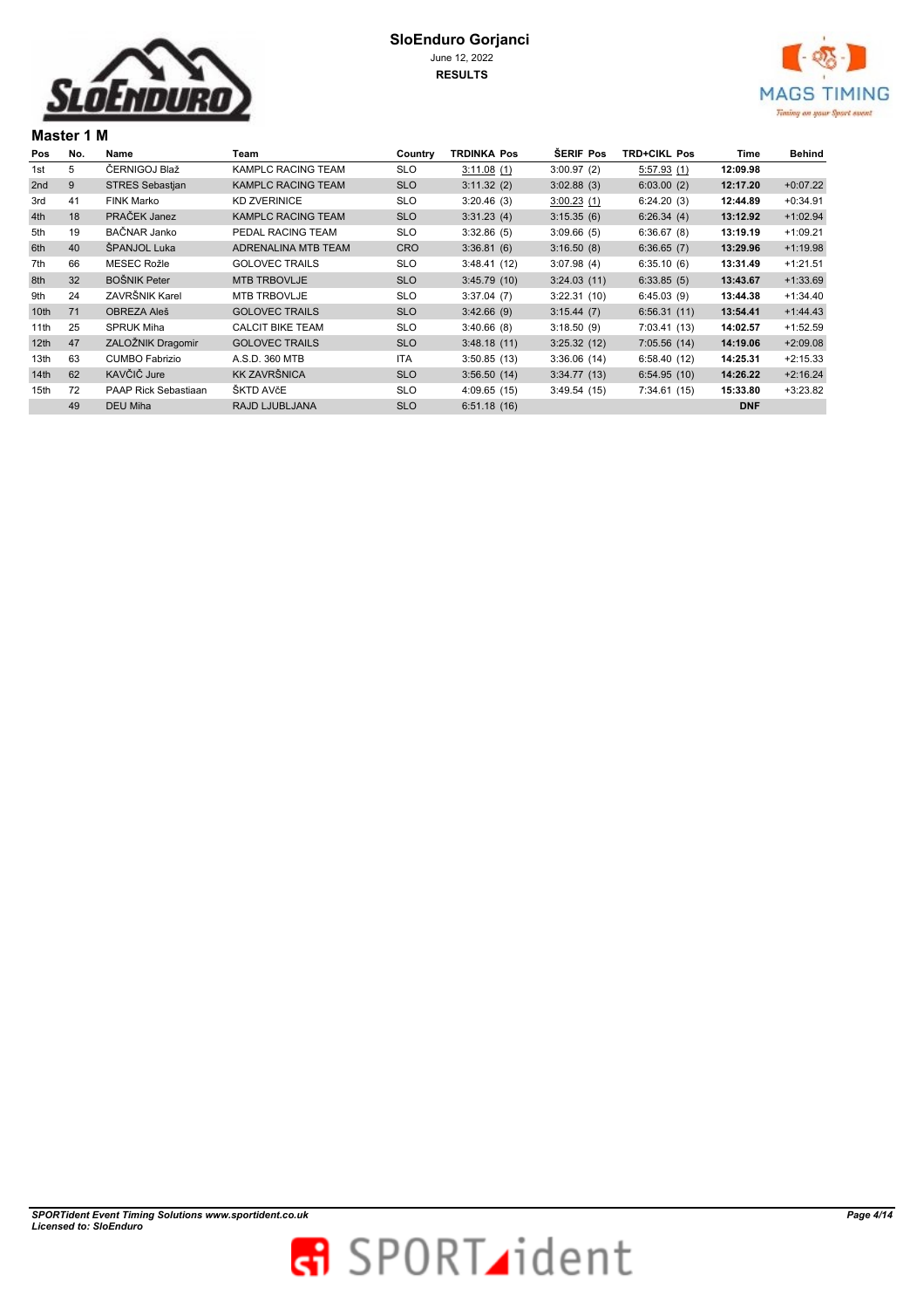



## **Master 1 M**

| Pos              | No. | Name                   | Team                      | Country    | <b>TRDINKA Pos</b> | <b>SERIF Pos</b> | <b>TRD+CIKL Pos</b> | Time       | Behind     |
|------------------|-----|------------------------|---------------------------|------------|--------------------|------------------|---------------------|------------|------------|
| 1st              | 5   | ČERNIGOJ Blaž          | KAMPLC RACING TEAM        | <b>SLO</b> | 3:11.08(1)         | 3:00.97(2)       | 5:57.93(1)          | 12:09.98   |            |
| 2 <sub>nd</sub>  | 9   | <b>STRES Sebastjan</b> | <b>KAMPLC RACING TEAM</b> | <b>SLO</b> | 3:11.32(2)         | 3:02.88(3)       | 6:03.00(2)          | 12:17.20   | $+0:07.22$ |
| 3rd              | 41  | <b>FINK Marko</b>      | <b>KD ZVERINICE</b>       | <b>SLO</b> | 3:20.46(3)         | 3:00.23(1)       | 6:24.20(3)          | 12:44.89   | $+0:34.91$ |
| 4th              | 18  | PRAČEK Janez           | <b>KAMPLC RACING TEAM</b> | <b>SLO</b> | 3:31.23(4)         | 3:15.35(6)       | 6:26.34(4)          | 13:12.92   | $+1:02.94$ |
| 5th              | 19  | BAČNAR Janko           | PEDAL RACING TEAM         | SLO        | 3:32.86(5)         | 3:09.66(5)       | 6:36.67(8)          | 13:19.19   | $+1:09.21$ |
| 6th              | 40  | ŠPANJOL Luka           | ADRENALINA MTB TEAM       | <b>CRO</b> | 3:36.81(6)         | 3:16.50(8)       | 6:36.65(7)          | 13:29.96   | $+1:19.98$ |
| 7th              | 66  | <b>MESEC Rožle</b>     | <b>GOLOVEC TRAILS</b>     | <b>SLO</b> | 3:48.41(12)        | 3:07.98(4)       | 6:35.10(6)          | 13:31.49   | $+1:21.51$ |
| 8th              | 32  | <b>BOŠNIK Peter</b>    | <b>MTB TRBOVLJE</b>       | <b>SLO</b> | 3:45.79(10)        | 3:24.03(11)      | 6:33.85(5)          | 13:43.67   | $+1:33.69$ |
| 9th              | 24  | ZAVRŠNIK Karel         | MTB TRBOVLJE              | <b>SLO</b> | 3:37.04(7)         | 3:22.31(10)      | 6:45.03(9)          | 13:44.38   | $+1:34.40$ |
| 10 <sub>th</sub> | 71  | <b>OBREZA Aleš</b>     | <b>GOLOVEC TRAILS</b>     | <b>SLO</b> | 3:42.66(9)         | 3:15.44(7)       | 6:56.31(11)         | 13:54.41   | $+1:44.43$ |
| 11th             | 25  | <b>SPRUK Miha</b>      | <b>CALCIT BIKE TEAM</b>   | <b>SLO</b> | 3:40.66(8)         | 3:18.50(9)       | 7:03.41(13)         | 14:02.57   | $+1:52.59$ |
| 12th             | 47  | ZALOŽNIK Dragomir      | <b>GOLOVEC TRAILS</b>     | <b>SLO</b> | 3:48.18(11)        | 3:25.32(12)      | 7:05.56(14)         | 14:19.06   | $+2:09.08$ |
| 13th             | 63  | <b>CUMBO Fabrizio</b>  | A.S.D. 360 MTB            | <b>ITA</b> | 3:50.85(13)        | 3:36.06(14)      | 6:58.40(12)         | 14:25.31   | $+2:15.33$ |
| 14th             | 62  | KAVČIČ Jure            | <b>KK ZAVRŠNICA</b>       | <b>SLO</b> | 3:56.50(14)        | 3:34.77(13)      | 6:54.95(10)         | 14:26.22   | $+2:16.24$ |
| 15th             | 72  | PAAP Rick Sebastiaan   | ŠKTD AVčE                 | <b>SLO</b> | 4:09.65(15)        | 3:49.54(15)      | 7:34.61(15)         | 15:33.80   | $+3:23.82$ |
|                  | 49  | DEU Miha               | RAJD LJUBLJANA            | <b>SLO</b> | 6:51.18(16)        |                  |                     | <b>DNF</b> |            |
|                  |     |                        |                           |            |                    |                  |                     |            |            |

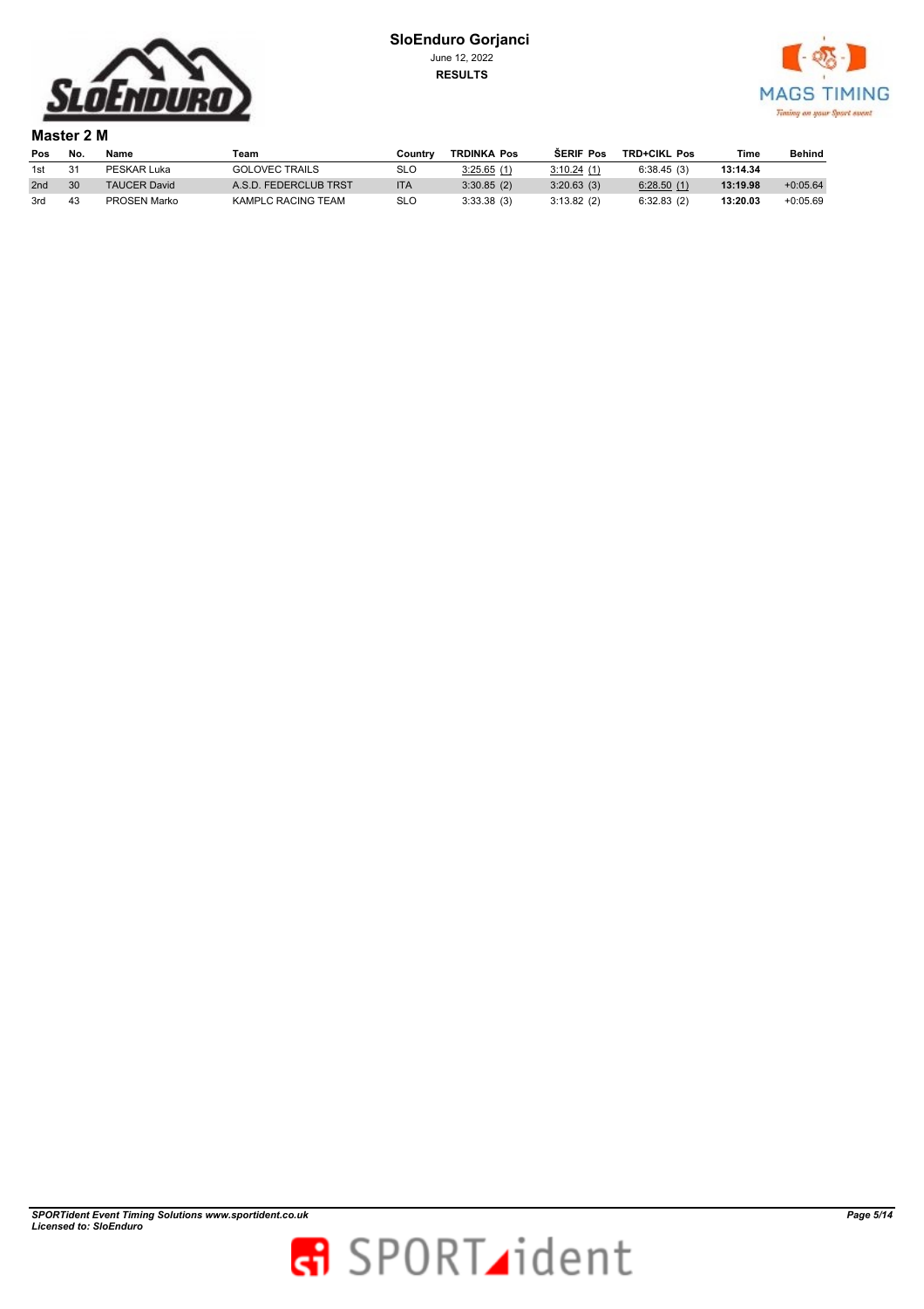



**Master 2 M Pos No. Name Team Country TRDINKA Pos ŠERIF Pos TRD+CIKL Pos Time Behind** 1st 31 PESKAR Luka GOLOVEC TRAILS SLO 3:25.65 (1) 3:10.24 (1) 6:38.45 (3) **13:14.34**<br>2nd 30 TAUCER David A.S.D. FEDERCLUB TRST ITA 3:30.85 (2) 3:20.63 (3) 6:28.50 (1) **13:19.98** 2nd 30 TAUCER David A.S.D. FEDERCLUB TRST ITA 3:30.85 (2) 3:20.63 (3) 6:28.50 (1) 13:19.98 +0:05.64 3rd 43 PROSEN Marko KAMPLC RACING TEAM SLO 3:33.38 (3) 3:13.82 (2) 6:32.83 (2) **13:20.03** +0:05.69

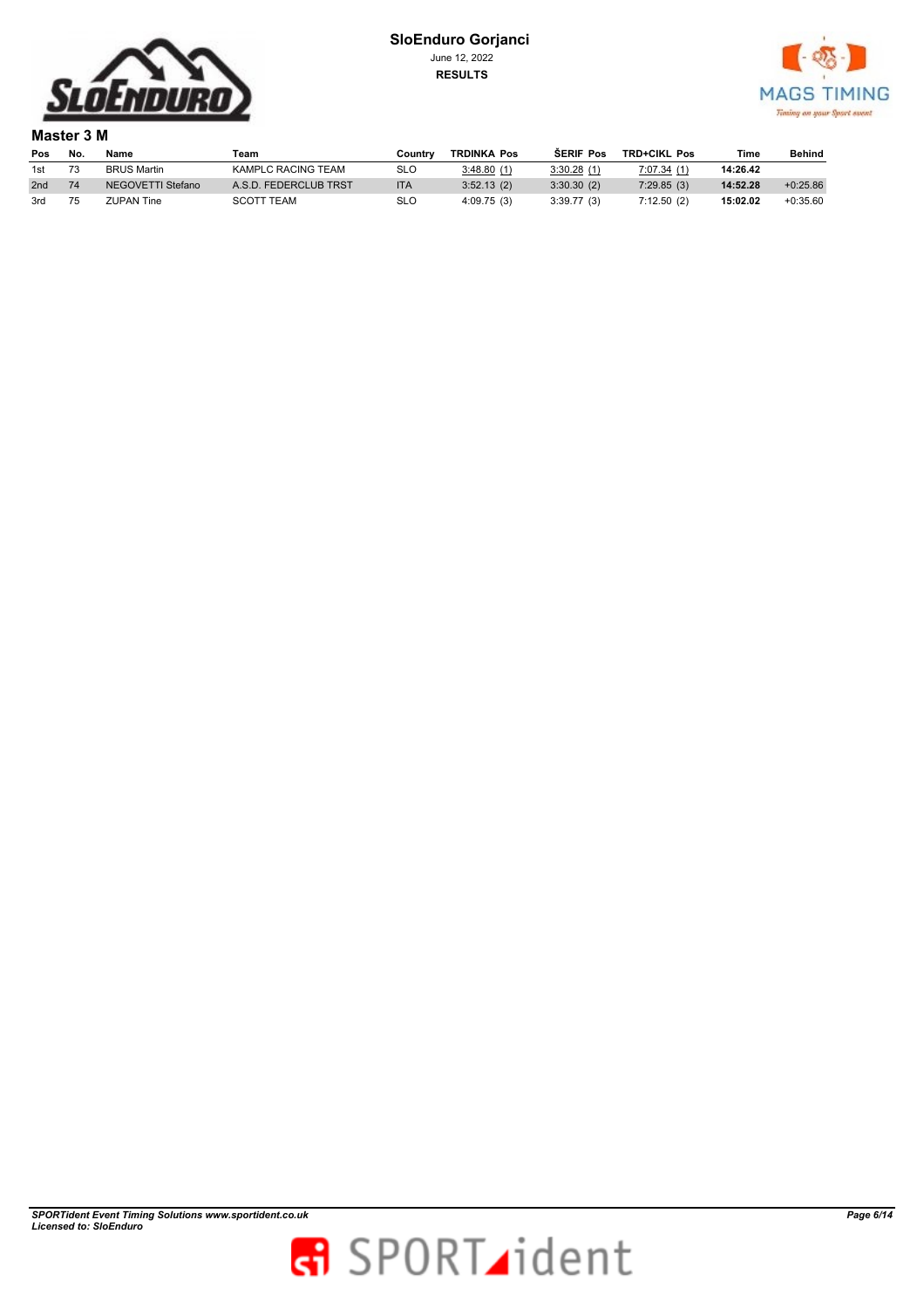



**Master 3 M** 

| Pos | No. | Name               | Team                  | ountr∨ٽ    | <b>TRDINKA Pos</b> | <b>SERIF Pos</b> | <b>TRD+CIKL Pos</b> | Time     | Behind     |
|-----|-----|--------------------|-----------------------|------------|--------------------|------------------|---------------------|----------|------------|
| 1st |     | <b>BRUS Martin</b> | KAMPLC RACING TEAM    | SLO        | 3:48.80(1)         | 3:30.28(1)       | 7:07.34 (1)         | 14:26.42 |            |
| 2nd |     | NEGOVETTI Stefano  | A.S.D. FEDERCLUB TRST | <b>ITA</b> | 3:52.13(2)         | 3:30.30(2)       | 7:29.85(3)          | 14:52.28 | $+0.25.86$ |
| 3rd |     | ZUPAN Tine         | <b>SCOTT TEAM</b>     | SLO        | 4:09.75(3)         | 3:39.77(3)       | 7:12.50(2)          | 15:02.02 | $+0:35.60$ |

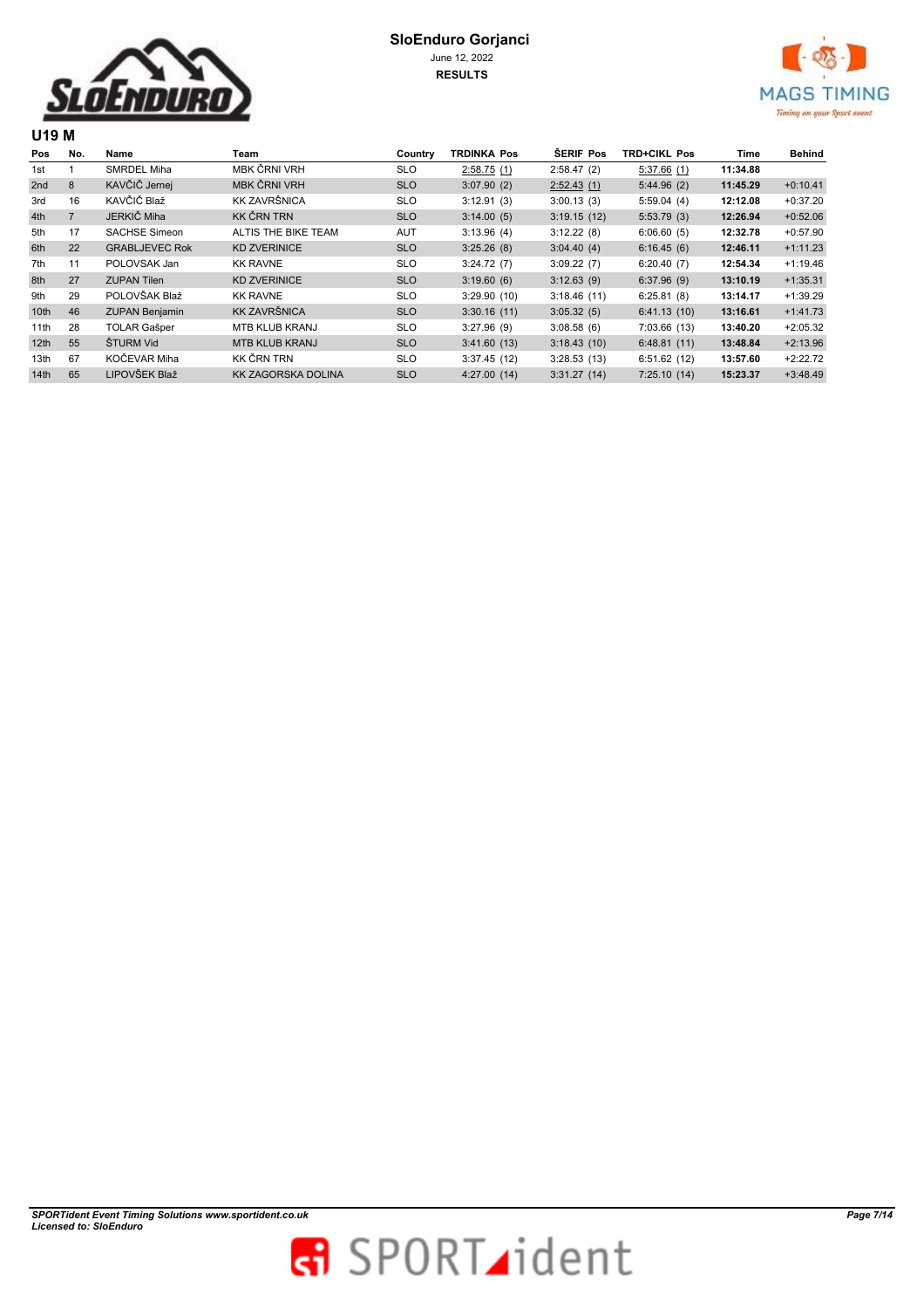



| Pos              | No.            | Name                  | Team                  | Country    | <b>TRDINKA Pos</b> | <b>SERIF Pos</b> | <b>TRD+CIKL Pos</b> | Time     | <b>Behind</b> |  |
|------------------|----------------|-----------------------|-----------------------|------------|--------------------|------------------|---------------------|----------|---------------|--|
| 1st              |                | SMRDEL Miha           | MBK ČRNI VRH          | <b>SLO</b> | 2:58.75(1)         | 2:58.47(2)       | 5:37.66(1)          | 11:34.88 |               |  |
| 2nd              | 8              | KAVČIČ Jernej         | MBK ČRNI VRH          | <b>SLO</b> | 3:07.90(2)         | 2:52.43(1)       | 5:44.96(2)          | 11:45.29 | $+0:10.41$    |  |
| 3rd              | 16             | KAVČIČ Blaž           | <b>KK ZAVRŠNICA</b>   | <b>SLO</b> | 3:12.91(3)         | 3:00.13(3)       | 5:59.04(4)          | 12:12.08 | $+0:37.20$    |  |
| 4th              | $\overline{7}$ | JERKIČ Miha           | <b>KK ČRN TRN</b>     | <b>SLO</b> | 3:14.00(5)         | 3:19.15(12)      | 5:53.79(3)          | 12:26.94 | $+0:52.06$    |  |
| 5th              | 17             | <b>SACHSE Simeon</b>  | ALTIS THE BIKE TEAM   | <b>AUT</b> | 3:13.96(4)         | 3:12.22(8)       | 6:06.60(5)          | 12:32.78 | $+0:57.90$    |  |
| 6th              | 22             | <b>GRABLJEVEC Rok</b> | <b>KD ZVERINICE</b>   | <b>SLO</b> | 3:25.26(8)         | 3:04.40(4)       | 6:16.45(6)          | 12:46.11 | $+1:11.23$    |  |
| 7th              | 11             | POLOVSAK Jan          | <b>KK RAVNE</b>       | <b>SLO</b> | 3:24.72(7)         | 3:09.22(7)       | 6:20.40(7)          | 12:54.34 | $+1:19.46$    |  |
| 8th              | 27             | <b>ZUPAN Tilen</b>    | <b>KD ZVERINICE</b>   | <b>SLO</b> | 3:19.60(6)         | 3:12.63(9)       | 6:37.96(9)          | 13:10.19 | $+1:35.31$    |  |
| 9th              | 29             | POLOVŠAK Blaž         | <b>KK RAVNE</b>       | <b>SLO</b> | 3:29.90(10)        | 3:18.46(11)      | 6:25.81(8)          | 13:14.17 | $+1:39.29$    |  |
| 10 <sub>th</sub> | 46             | <b>ZUPAN Benjamin</b> | <b>KK ZAVRŠNICA</b>   | <b>SLO</b> | 3:30.16(11)        | 3:05.32(5)       | 6:41.13(10)         | 13:16.61 | $+1:41.73$    |  |
| 11th             | 28             | <b>TOLAR Gašper</b>   | <b>MTB KLUB KRANJ</b> | <b>SLO</b> | 3:27.96(9)         | 3:08.58(6)       | 7:03.66(13)         | 13:40.20 | $+2:05.32$    |  |
| 12 <sub>th</sub> | 55             | ŠTURM Vid             | <b>MTB KLUB KRANJ</b> | <b>SLO</b> | 3:41.60(13)        | 3:18.43(10)      | 6:48.81(11)         | 13:48.84 | $+2:13.96$    |  |
| 13th             | 67             | KOČEVAR Miha          | KK ČRN TRN            | <b>SLO</b> | 3:37.45(12)        | 3:28.53(13)      | 6:51.62(12)         | 13:57.60 | $+2:22.72$    |  |
| 14th             | 65             | LIPOVŠEK Blaž         | KK ZAGORSKA DOLINA    | <b>SLO</b> | 4:27.00(14)        | 3:31.27(14)      | 7:25.10(14)         | 15:23.37 | $+3:48.49$    |  |
|                  |                |                       |                       |            |                    |                  |                     |          |               |  |

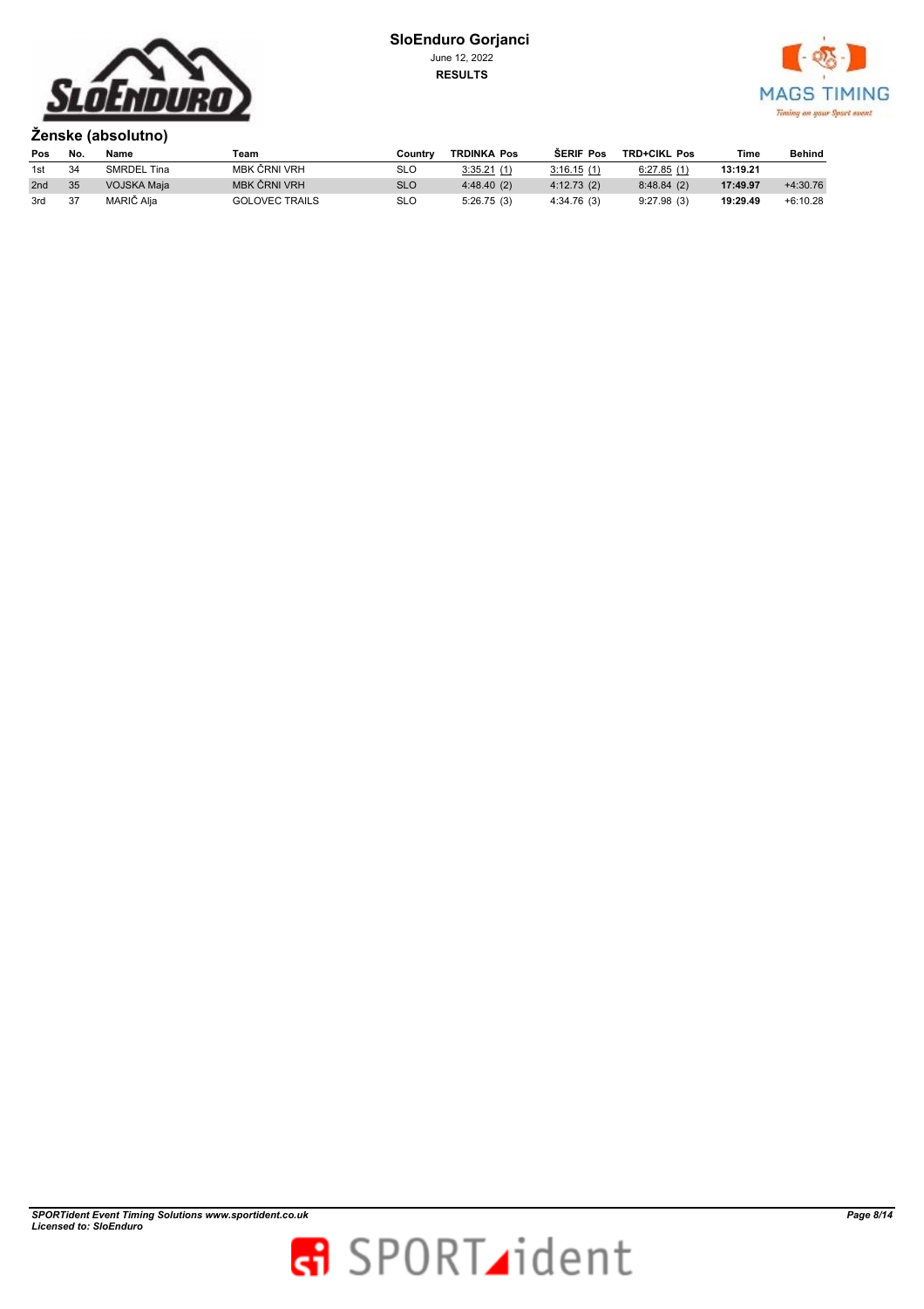



**Ženske (absolutno) Pos No. Name Team Country TRDINKA Pos ŠERIF Pos TRD+CIKL Pos Time Behind** 1st <sup>34</sup> SMRDEL Tina MBK ČRNI VRH SLO 3:35.21 (1) 3:16.15 (1) 6:27.85 (1) **13:19.21** 2nd <sup>35</sup> VOJSKA Maja MBK ČRNI VRH SLO 4:48.40 (2) 4:12.73 (2) 8:48.84 (2) **17:49.97** +4:30.76 3rd <sup>37</sup> MARIČ Alja GOLOVEC TRAILS SLO 5:26.75 (3) 4:34.76 (3) 9:27.98 (3) **19:29.49** +6:10.28

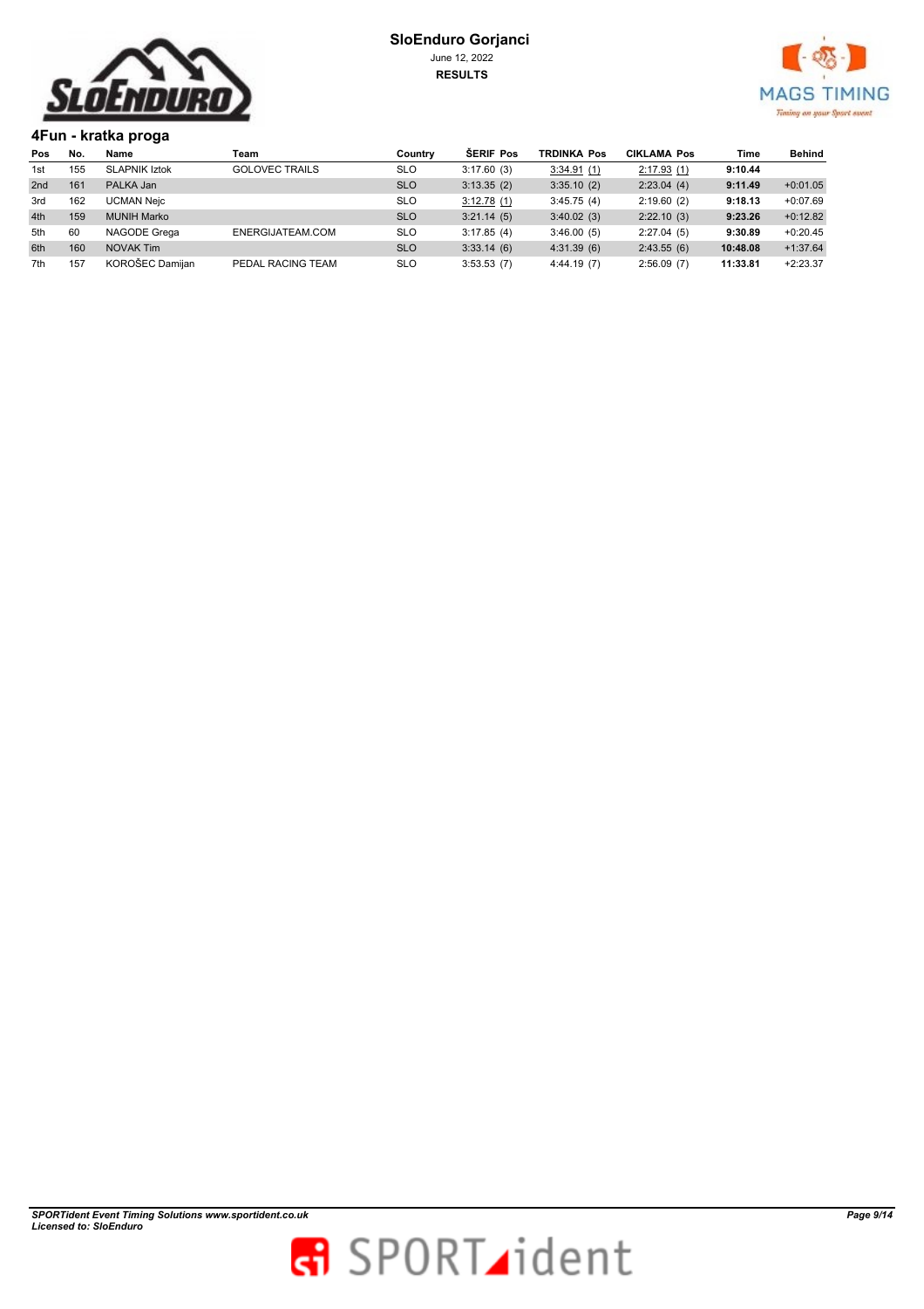



**4Fun - kratka proga** 

| Pos | No. | Name                 | Team                  | Country    | <b>SERIF Pos</b> | <b>TRDINKA Pos</b> | <b>CIKLAMA Pos</b> | Time     | Behind     |
|-----|-----|----------------------|-----------------------|------------|------------------|--------------------|--------------------|----------|------------|
| 1st | 155 | <b>SLAPNIK Iztok</b> | <b>GOLOVEC TRAILS</b> | <b>SLO</b> | 3:17.60(3)       | 3:34.91(1)         | 2:17.93(1)         | 9:10.44  |            |
| 2nd | 161 | PALKA Jan            |                       | <b>SLO</b> | 3:13.35(2)       | 3:35.10(2)         | 2:23.04(4)         | 9:11.49  | $+0:01.05$ |
| 3rd | 162 | <b>UCMAN Neic</b>    |                       | <b>SLO</b> | 3:12.78(1)       | 3:45.75(4)         | 2:19.60(2)         | 9:18.13  | $+0.07.69$ |
| 4th | 159 | <b>MUNIH Marko</b>   |                       | <b>SLO</b> | 3:21.14(5)       | 3:40.02(3)         | 2:22.10(3)         | 9:23.26  | $+0:12.82$ |
| 5th | 60  | NAGODE Grega         | ENERGIJATEAM.COM      | <b>SLO</b> | 3:17.85(4)       | 3:46.00(5)         | 2:27.04(5)         | 9:30.89  | $+0:20.45$ |
| 6th | 160 | NOVAK Tim            |                       | <b>SLO</b> | 3:33.14(6)       | 4:31.39(6)         | 2:43.55(6)         | 10:48.08 | $+1:37.64$ |
| 7th | 157 | KOROŠEC Damijan      | PEDAL RACING TEAM     | <b>SLO</b> | 3:53.53(7)       | 4:44.19(7)         | 2:56.09(7)         | 11:33.81 | $+2:23.37$ |

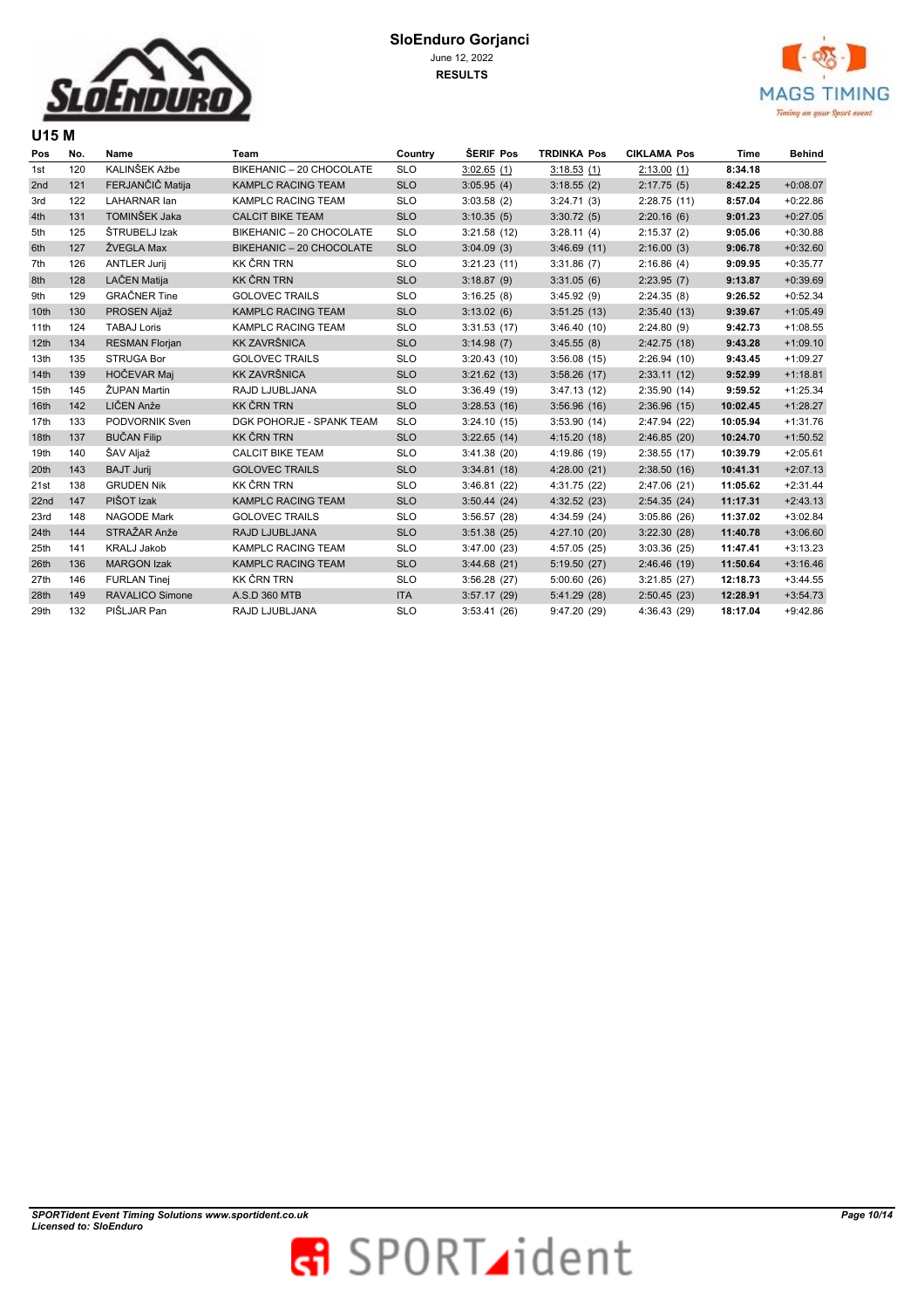



| Pos              | No. | Name                   | Team                      | Country    | ŠERIF Pos   | <b>TRDINKA Pos</b> | <b>CIKLAMA Pos</b> | Time     | <b>Behind</b> |
|------------------|-----|------------------------|---------------------------|------------|-------------|--------------------|--------------------|----------|---------------|
| 1st              | 120 | KALINŠEK Ažbe          | BIKEHANIC - 20 CHOCOLATE  | <b>SLO</b> | 3:02.65(1)  | 3:18.53(1)         | 2:13.00(1)         | 8:34.18  |               |
| 2nd              | 121 | FERJANČIČ Matija       | <b>KAMPLC RACING TEAM</b> | <b>SLO</b> | 3:05.95(4)  | 3:18.55(2)         | 2:17.75(5)         | 8:42.25  | $+0:08.07$    |
| 3rd              | 122 | <b>LAHARNAR lan</b>    | KAMPLC RACING TEAM        | <b>SLO</b> | 3:03.58(2)  | 3:24.71(3)         | 2:28.75(11)        | 8:57.04  | $+0:22.86$    |
| 4th              | 131 | TOMINŠEK Jaka          | <b>CALCIT BIKE TEAM</b>   | <b>SLO</b> | 3:10.35(5)  | 3:30.72(5)         | 2:20.16(6)         | 9:01.23  | $+0:27.05$    |
| 5th              | 125 | ŠTRUBELJ Izak          | BIKEHANIC - 20 CHOCOLATE  | <b>SLO</b> | 3:21.58(12) | 3:28.11(4)         | 2:15.37(2)         | 9:05.06  | $+0:30.88$    |
| 6th              | 127 | ŽVEGLA Max             | BIKEHANIC - 20 CHOCOLATE  | <b>SLO</b> | 3:04.09(3)  | 3:46.69(11)        | 2:16.00(3)         | 9:06.78  | $+0:32.60$    |
| 7th              | 126 | <b>ANTLER Jurij</b>    | <b>KK ČRN TRN</b>         | <b>SLO</b> | 3:21.23(11) | 3:31.86(7)         | 2:16.86(4)         | 9:09.95  | $+0:35.77$    |
| 8th              | 128 | LAČEN Matija           | <b>KK ČRN TRN</b>         | <b>SLO</b> | 3:18.87(9)  | 3:31.05(6)         | 2:23.95(7)         | 9:13.87  | $+0:39.69$    |
| 9th              | 129 | <b>GRAČNER Tine</b>    | <b>GOLOVEC TRAILS</b>     | <b>SLO</b> | 3:16.25(8)  | 3:45.92(9)         | 2:24.35(8)         | 9:26.52  | $+0:52.34$    |
| 10th             | 130 | PROSEN Aljaž           | <b>KAMPLC RACING TEAM</b> | <b>SLO</b> | 3:13.02(6)  | 3:51.25(13)        | 2:35.40(13)        | 9:39.67  | $+1:05.49$    |
| 11th             | 124 | <b>TABAJ Loris</b>     | KAMPLC RACING TEAM        | <b>SLO</b> | 3:31.53(17) | 3:46.40(10)        | 2:24.80(9)         | 9:42.73  | $+1:08.55$    |
| 12 <sub>th</sub> | 134 | <b>RESMAN Florjan</b>  | <b>KK ZAVRŠNICA</b>       | <b>SLO</b> | 3:14.98(7)  | 3:45.55(8)         | 2:42.75(18)        | 9:43.28  | $+1:09.10$    |
| 13th             | 135 | <b>STRUGA Bor</b>      | <b>GOLOVEC TRAILS</b>     | <b>SLO</b> | 3:20.43(10) | 3:56.08(15)        | 2:26.94(10)        | 9:43.45  | $+1:09.27$    |
| 14 <sub>th</sub> | 139 | HOČEVAR Maj            | <b>KK ZAVRŠNICA</b>       | <b>SLO</b> | 3:21.62(13) | 3:58.26(17)        | 2:33.11(12)        | 9:52.99  | $+1:18.81$    |
| 15th             | 145 | ŽUPAN Martin           | RAJD LJUBLJANA            | <b>SLO</b> | 3:36.49(19) | 3:47.13(12)        | 2:35.90(14)        | 9:59.52  | $+1:25.34$    |
| 16th             | 142 | LIČEN Anže             | <b>KK ČRN TRN</b>         | <b>SLO</b> | 3:28.53(16) | 3:56.96(16)        | 2:36.96(15)        | 10:02.45 | $+1:28.27$    |
| 17th             | 133 | PODVORNIK Sven         | DGK POHORJE - SPANK TEAM  | <b>SLO</b> | 3:24.10(15) | 3:53.90(14)        | 2:47.94 (22)       | 10:05.94 | $+1:31.76$    |
| 18th             | 137 | <b>BUČAN Filip</b>     | <b>KK ČRN TRN</b>         | <b>SLO</b> | 3:22.65(14) | 4:15.20(18)        | 2:46.85(20)        | 10:24.70 | $+1:50.52$    |
| 19th             | 140 | ŠAV Aljaž              | <b>CALCIT BIKE TEAM</b>   | <b>SLO</b> | 3:41.38(20) | 4:19.86 (19)       | 2:38.55(17)        | 10:39.79 | $+2:05.61$    |
| 20th             | 143 | <b>BAJT Jurij</b>      | <b>GOLOVEC TRAILS</b>     | <b>SLO</b> | 3:34.81(18) | 4:28.00(21)        | 2:38.50(16)        | 10:41.31 | $+2:07.13$    |
| 21st             | 138 | <b>GRUDEN Nik</b>      | <b>KK ČRN TRN</b>         | <b>SLO</b> | 3:46.81(22) | 4:31.75 (22)       | 2:47.06 (21)       | 11:05.62 | $+2:31.44$    |
| 22nd             | 147 | PIŠOT Izak             | <b>KAMPLC RACING TEAM</b> | <b>SLO</b> | 3:50.44(24) | 4:32.52(23)        | 2:54.35(24)        | 11:17.31 | $+2:43.13$    |
| 23rd             | 148 | <b>NAGODE Mark</b>     | <b>GOLOVEC TRAILS</b>     | <b>SLO</b> | 3:56.57(28) | 4:34.59 (24)       | 3:05.86(26)        | 11:37.02 | $+3:02.84$    |
| 24th             | 144 | STRAŽAR Anže           | RAJD LJUBLJANA            | <b>SLO</b> | 3:51.38(25) | 4:27.10(20)        | 3:22.30(28)        | 11:40.78 | $+3:06.60$    |
| 25th             | 141 | <b>KRALJ Jakob</b>     | KAMPLC RACING TEAM        | <b>SLO</b> | 3:47.00(23) | 4:57.05(25)        | 3:03.36(25)        | 11:47.41 | $+3:13.23$    |
| 26th             | 136 | <b>MARGON Izak</b>     | <b>KAMPLC RACING TEAM</b> | <b>SLO</b> | 3:44.68(21) | 5:19.50(27)        | 2:46.46(19)        | 11:50.64 | $+3:16.46$    |
| 27th             | 146 | <b>FURLAN Tinei</b>    | <b>KK ČRN TRN</b>         | <b>SLO</b> | 3:56.28(27) | 5:00.60(26)        | 3:21.85(27)        | 12:18.73 | $+3:44.55$    |
| 28th             | 149 | <b>RAVALICO Simone</b> | A.S.D 360 MTB             | <b>ITA</b> | 3:57.17(29) | 5:41.29 (28)       | 2:50.45(23)        | 12:28.91 | $+3:54.73$    |
| 29th             | 132 | PIŠLJAR Pan            | RAJD LJUBLJANA            | <b>SLO</b> | 3:53.41(26) | 9:47.20 (29)       | 4:36.43 (29)       | 18:17.04 | $+9:42.86$    |

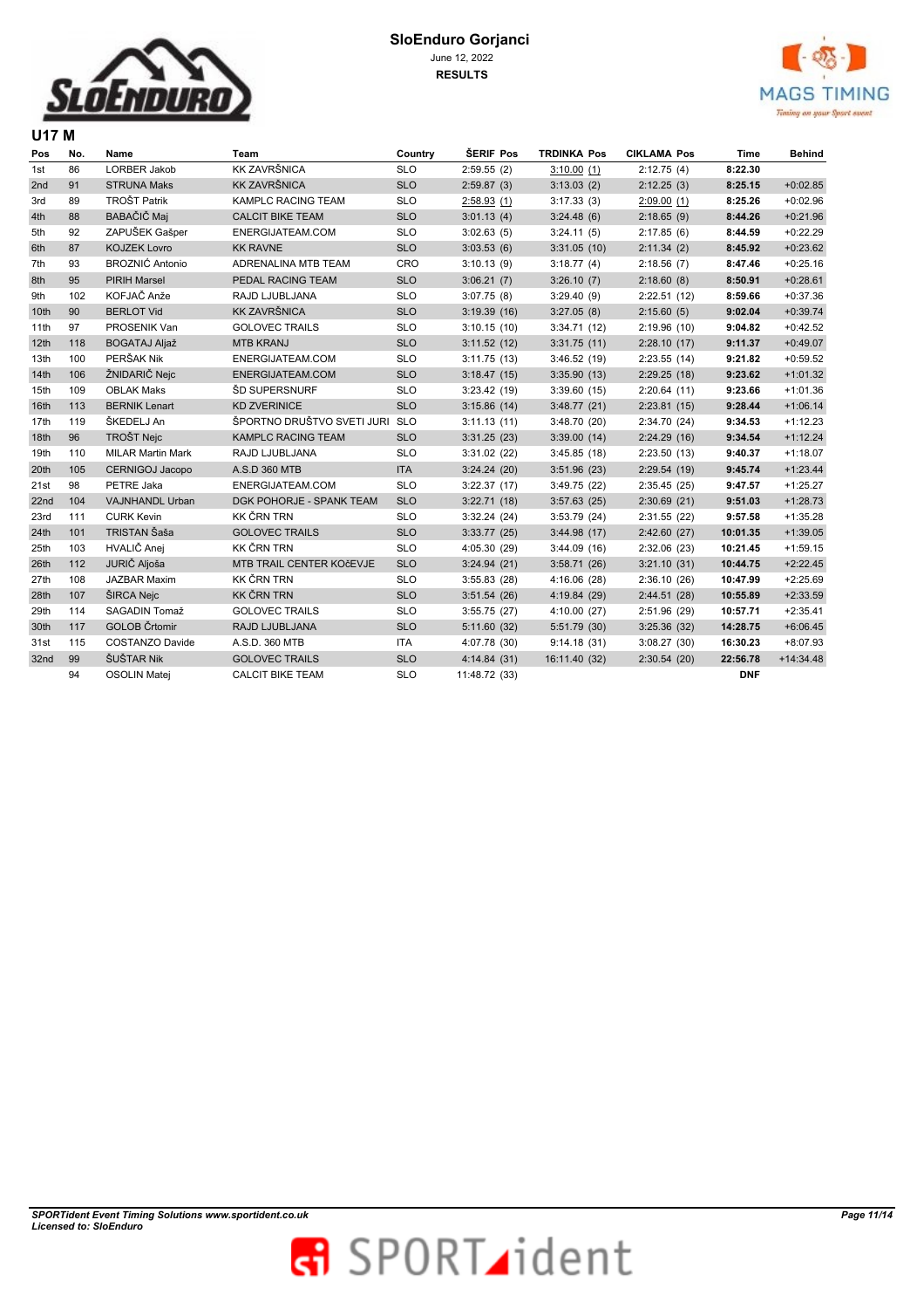

**U17 M** 



| Pos  | No. | Name                     | Team                       | Country    | <b>SERIF Pos</b> | <b>TRDINKA Pos</b> | <b>CIKLAMA Pos</b> | <b>Time</b> | <b>Behind</b> |
|------|-----|--------------------------|----------------------------|------------|------------------|--------------------|--------------------|-------------|---------------|
| 1st  | 86  | LORBER Jakob             | <b>KK ZAVRŠNICA</b>        | <b>SLO</b> | 2:59.55(2)       | 3:10.00(1)         | 2:12.75(4)         | 8:22.30     |               |
| 2nd  | 91  | <b>STRUNA Maks</b>       | <b>KK ZAVRŠNICA</b>        | <b>SLO</b> | 2:59.87(3)       | 3:13.03(2)         | 2:12.25(3)         | 8:25.15     | $+0:02.85$    |
| 3rd  | 89  | <b>TROŠT Patrik</b>      | KAMPLC RACING TEAM         | <b>SLO</b> | 2:58.93(1)       | 3:17.33(3)         | 2:09.00(1)         | 8:25.26     | $+0:02.96$    |
| 4th  | 88  | BABAČIČ Maj              | <b>CALCIT BIKE TEAM</b>    | <b>SLO</b> | 3:01.13(4)       | 3:24.48(6)         | 2:18.65(9)         | 8:44.26     | $+0:21.96$    |
| 5th  | 92  | ZAPUŠEK Gašper           | ENERGIJATEAM.COM           | <b>SLO</b> | 3:02.63(5)       | 3:24.11(5)         | 2:17.85(6)         | 8:44.59     | $+0:22.29$    |
| 6th  | 87  | <b>KOJZEK Lovro</b>      | <b>KK RAVNE</b>            | <b>SLO</b> | 3:03.53(6)       | 3:31.05(10)        | 2:11.34(2)         | 8:45.92     | $+0:23.62$    |
| 7th  | 93  | <b>BROZNIĆ Antonio</b>   | ADRENALINA MTB TEAM        | CRO        | 3:10.13(9)       | 3:18.77(4)         | 2:18.56(7)         | 8:47.46     | $+0:25.16$    |
| 8th  | 95  | <b>PIRIH Marsel</b>      | PEDAL RACING TEAM          | <b>SLO</b> | 3:06.21(7)       | 3:26.10(7)         | 2:18.60(8)         | 8:50.91     | $+0:28.61$    |
| 9th  | 102 | KOFJAČ Anže              | RAJD LJUBLJANA             | <b>SLO</b> | 3:07.75(8)       | 3:29.40(9)         | 2:22.51(12)        | 8:59.66     | $+0:37.36$    |
| 10th | 90  | <b>BERLOT Vid</b>        | <b>KK ZAVRŠNICA</b>        | <b>SLO</b> | 3:19.39(16)      | 3:27.05(8)         | 2:15.60(5)         | 9:02.04     | $+0:39.74$    |
| 11th | 97  | PROSENIK Van             | <b>GOLOVEC TRAILS</b>      | <b>SLO</b> | 3:10.15(10)      | 3:34.71(12)        | 2:19.96(10)        | 9:04.82     | $+0:42.52$    |
| 12th | 118 | <b>BOGATAJ Aljaž</b>     | <b>MTB KRANJ</b>           | <b>SLO</b> | 3:11.52(12)      | 3:31.75(11)        | 2:28.10(17)        | 9:11.37     | $+0:49.07$    |
| 13th | 100 | PERŠAK Nik               | ENERGIJATEAM.COM           | <b>SLO</b> | 3:11.75(13)      | 3:46.52(19)        | 2:23.55(14)        | 9:21.82     | $+0:59.52$    |
| 14th | 106 | ŽNIDARIČ Nejc            | ENERGIJATEAM.COM           | <b>SLO</b> | 3:18.47(15)      | 3:35.90(13)        | 2:29.25(18)        | 9:23.62     | $+1:01.32$    |
| 15th | 109 | <b>OBLAK Maks</b>        | ŠD SUPERSNURF              | <b>SLO</b> | 3:23.42 (19)     | 3:39.60(15)        | 2:20.64(11)        | 9:23.66     | $+1:01.36$    |
| 16th | 113 | <b>BERNIK Lenart</b>     | <b>KD ZVERINICE</b>        | <b>SLO</b> | 3:15.86(14)      | 3:48.77(21)        | 2:23.81(15)        | 9:28.44     | $+1:06.14$    |
| 17th | 119 | ŠKEDELJ An               | ŠPORTNO DRUŠTVO SVETI JURI | <b>SLO</b> | 3:11.13(11)      | 3:48.70(20)        | 2:34.70 (24)       | 9:34.53     | $+1:12.23$    |
| 18th | 96  | <b>TROŠT Nejc</b>        | KAMPLC RACING TEAM         | <b>SLO</b> | 3:31.25(23)      | 3:39.00(14)        | 2:24.29(16)        | 9:34.54     | $+1:12.24$    |
| 19th | 110 | <b>MILAR Martin Mark</b> | RAJD LJUBLJANA             | <b>SLO</b> | 3:31.02(22)      | 3:45.85(18)        | 2:23.50(13)        | 9:40.37     | $+1:18.07$    |
| 20th | 105 | CERNIGOJ Jacopo          | A.S.D 360 MTB              | <b>ITA</b> | 3:24.24(20)      | 3:51.96(23)        | 2:29.54(19)        | 9:45.74     | $+1:23.44$    |
| 21st | 98  | PETRE Jaka               | ENERGIJATEAM.COM           | <b>SLO</b> | 3:22.37(17)      | 3:49.75(22)        | 2:35.45(25)        | 9:47.57     | $+1:25.27$    |
| 22nd | 104 | VAJNHANDL Urban          | DGK POHORJE - SPANK TEAM   | <b>SLO</b> | 3:22.71(18)      | 3:57.63(25)        | 2:30.69(21)        | 9:51.03     | $+1:28.73$    |
| 23rd | 111 | <b>CURK Kevin</b>        | <b>KK ČRN TRN</b>          | <b>SLO</b> | 3:32.24(24)      | 3:53.79(24)        | 2:31.55(22)        | 9:57.58     | $+1:35.28$    |
| 24th | 101 | TRISTAN Šaša             | <b>GOLOVEC TRAILS</b>      | <b>SLO</b> | 3:33.77(25)      | 3:44.98(17)        | 2:42.60(27)        | 10:01.35    | $+1:39.05$    |
| 25th | 103 | HVALIČ Anej              | <b>KK ČRN TRN</b>          | <b>SLO</b> | 4:05.30 (29)     | 3:44.09(16)        | 2:32.06(23)        | 10:21.45    | $+1:59.15$    |
| 26th | 112 | JURIČ Aljoša             | MTB TRAIL CENTER KOčEVJE   | <b>SLO</b> | 3:24.94(21)      | 3:58.71(26)        | 3:21.10(31)        | 10:44.75    | $+2:22.45$    |
| 27th | 108 | JAZBAR Maxim             | <b>KK ČRN TRN</b>          | <b>SLO</b> | 3:55.83(28)      | 4:16.06(28)        | 2:36.10(26)        | 10:47.99    | $+2:25.69$    |
| 28th | 107 | ŠIRCA Nejc               | <b>KK ČRN TRN</b>          | <b>SLO</b> | 3:51.54(26)      | 4:19.84(29)        | 2:44.51(28)        | 10:55.89    | $+2:33.59$    |
| 29th | 114 | SAGADIN Tomaž            | <b>GOLOVEC TRAILS</b>      | <b>SLO</b> | 3:55.75(27)      | 4:10.00(27)        | 2:51.96 (29)       | 10:57.71    | $+2:35.41$    |
| 30th | 117 | <b>GOLOB Črtomir</b>     | RAJD LJUBLJANA             | <b>SLO</b> | 5:11.60(32)      | 5:51.79(30)        | 3:25.36(32)        | 14:28.75    | $+6:06.45$    |
| 31st | 115 | <b>COSTANZO Davide</b>   | A.S.D. 360 MTB             | <b>ITA</b> | 4:07.78 (30)     | 9:14.18(31)        | 3:08.27(30)        | 16:30.23    | $+8:07.93$    |
| 32nd | 99  | ŠUŠTAR Nik               | <b>GOLOVEC TRAILS</b>      | <b>SLO</b> | 4:14.84(31)      | 16:11.40 (32)      | 2:30.54(20)        | 22:56.78    | $+14:34.48$   |
|      | 94  | <b>OSOLIN Matei</b>      | <b>CALCIT BIKE TEAM</b>    | <b>SLO</b> | 11:48.72 (33)    |                    |                    | <b>DNF</b>  |               |

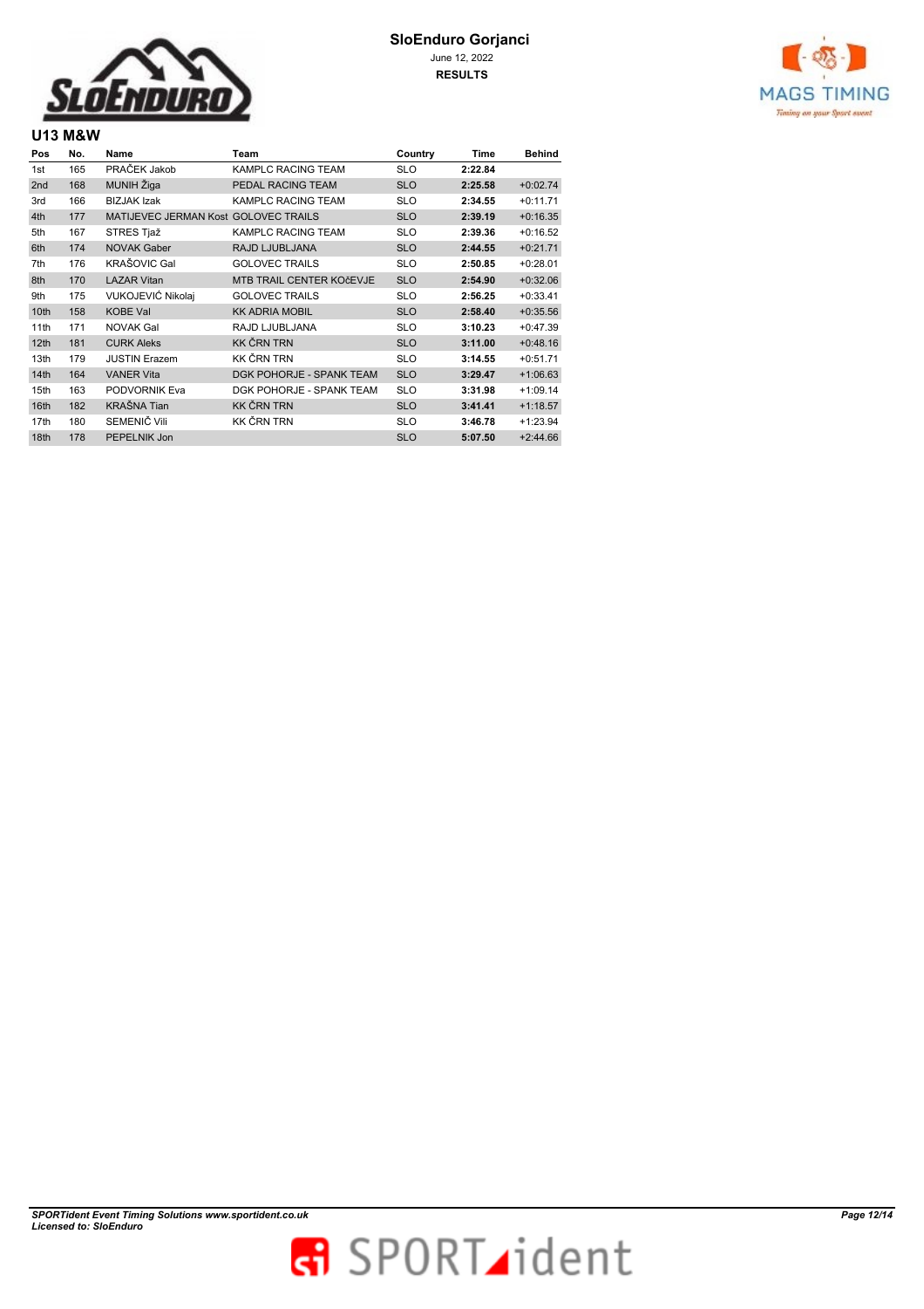

# **SloEnduro Gorjanci**  June 12, 2022

**RESULTS**



# **U13 M&W**

| Pos             | No. | Name                                 | Team                     | Country    | Time    | <b>Behind</b> |
|-----------------|-----|--------------------------------------|--------------------------|------------|---------|---------------|
| 1st             | 165 | PRAČEK Jakob                         | KAMPLC RACING TEAM       | <b>SLO</b> | 2:22.84 |               |
| 2 <sub>nd</sub> | 168 | MUNIH Žiga                           | PEDAL RACING TEAM        | <b>SLO</b> | 2:25.58 | $+0:02.74$    |
| 3rd             | 166 | <b>BIZJAK Izak</b>                   | KAMPLC RACING TEAM       | <b>SLO</b> | 2:34.55 | $+0:11.71$    |
| 4th             | 177 | MATIJEVEC JERMAN Kost GOLOVEC TRAILS |                          | <b>SLO</b> | 2:39.19 | $+0:16.35$    |
| 5th             | 167 | STRES Tjaž                           | KAMPLC RACING TEAM       | <b>SLO</b> | 2:39.36 | $+0:16.52$    |
| 6th             | 174 | <b>NOVAK Gaber</b>                   | RAJD LJUBLJANA           | <b>SLO</b> | 2:44.55 | $+0:21.71$    |
| 7th             | 176 | <b>KRAŠOVIC Gal</b>                  | <b>GOLOVEC TRAILS</b>    | <b>SLO</b> | 2:50.85 | $+0.28.01$    |
| 8th             | 170 | <b>LAZAR Vitan</b>                   | MTB TRAIL CENTER KOČEVJE | <b>SLO</b> | 2:54.90 | $+0:32.06$    |
| 9th             | 175 | VUKOJEVIĆ Nikolaj                    | <b>GOLOVEC TRAILS</b>    | <b>SLO</b> | 2:56.25 | $+0:33.41$    |
| 10th            | 158 | <b>KOBE Val</b>                      | <b>KK ADRIA MOBIL</b>    | <b>SLO</b> | 2:58.40 | $+0:35.56$    |
| 11th            | 171 | <b>NOVAK Gal</b>                     | RAJD LJUBLJANA           | <b>SLO</b> | 3:10.23 | $+0:47.39$    |
| 12th            | 181 | <b>CURK Aleks</b>                    | <b>KK ČRN TRN</b>        | <b>SLO</b> | 3:11.00 | $+0:48.16$    |
| 13th            | 179 | <b>JUSTIN Erazem</b>                 | KK ČRN TRN               | <b>SLO</b> | 3:14.55 | $+0:51.71$    |
| 14th            | 164 | <b>VANER Vita</b>                    | DGK POHORJE - SPANK TEAM | <b>SLO</b> | 3:29.47 | $+1:06.63$    |
| 15th            | 163 | PODVORNIK Eva                        | DGK POHORJE - SPANK TEAM | <b>SLO</b> | 3:31.98 | $+1:09.14$    |
| 16th            | 182 | <b>KRAŠNA Tian</b>                   | <b>KK ČRN TRN</b>        | <b>SLO</b> | 3:41.41 | $+1:18.57$    |
| 17th            | 180 | SEMENIČ Vili                         | KK ČRN TRN               | <b>SLO</b> | 3:46.78 | $+1:23.94$    |
| 18th            | 178 | PEPELNIK Jon                         |                          | <b>SLO</b> | 5:07.50 | $+2:44.66$    |

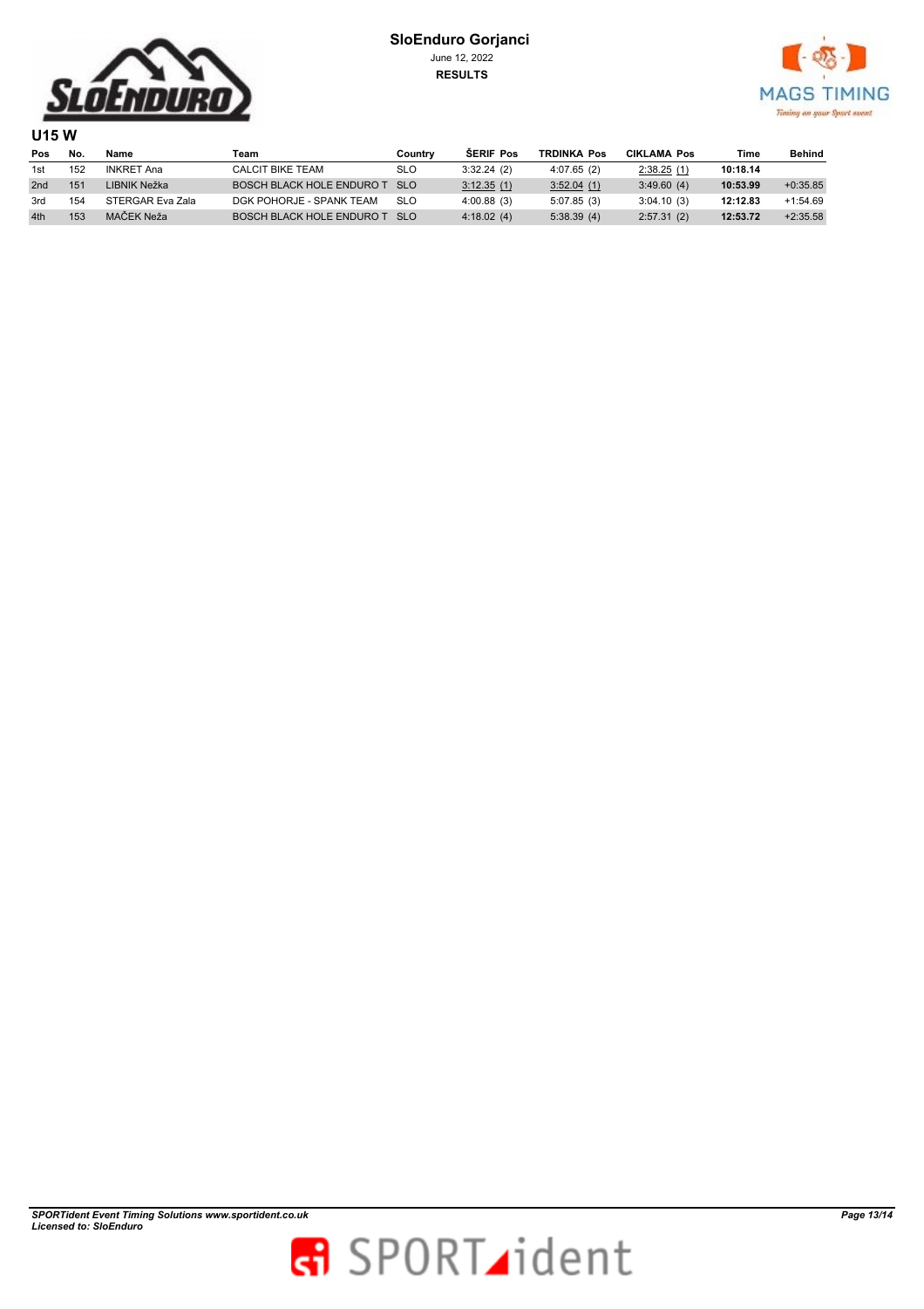



**U15 W Pos No. Name Team Country ŠERIF Pos TRDINKA Pos CIKLAMA Pos Time Behind** 1st 152 INKRET Ana CALCIT BIKE TEAM SLO 3:32.24 (2) 4:07.65 (2) 2:38.25 (1) **10:18.14** 2nd 151 LIBNIK Nežka BOSCH BLACK HOLE ENDURO T SLO 3:12.35 (1) 3:52.04 (1) 3:49.60 (4) 10:53.99 +0:35.85 3rd 154 STERGAR Eva Zala DGK POHORJE - SPANK TEAM SLO 4:00.88 (3) 5:07.85 (3) 3:04.10 (3) **12:12.83** +1:54.69 4th <sup>153</sup> MAČEK Neža BOSCH BLACK HOLE ENDURO T SLO 4:18.02 (4) 5:38.39 (4) 2:57.31 (2) **12:53.72** +2:35.58